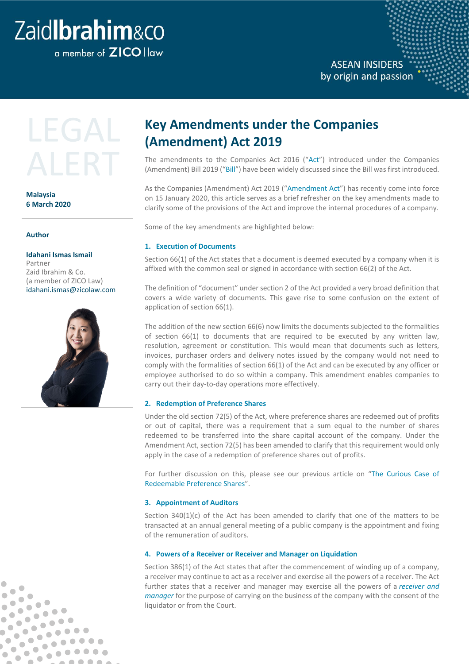# Zaidlbrahim&co

a member of **ZICO** I law

### **ASEAN INSIDERS** by origin and passion



**Malaysia 6 March 2020**

#### **Author**

 $\bullet$  $\blacksquare$ 

 $\bullet$ 

 $\qquad \qquad \blacksquare$ 

 $\bullet$ 

 $\bullet$ 

 $\bullet$ 

 $\bullet$ 

Ċ

 $\bullet$ 

Ô

b

 $\bullet$  $\bullet$ 

 $\bullet$  $\bullet$ 

 $\bullet$ 

 $\blacksquare$ 

 $\qquad \qquad \bullet$ 

 $\bullet$ 

 $\bullet$ 

 $\qquad \qquad \blacksquare$ 

 $\bullet$  $\bullet$ 

 $\bullet$  $\begin{array}{c} \bullet \\ \bullet \end{array}$ 

 $\bullet$ 

 $\bullet$ 

 $\bullet$   $\bullet$ 

 $\bullet \bullet \bullet$ 

 $\bullet\bullet\bullet\bullet$ 

 $.00000$ 

 $\begin{array}{c|c} \bullet & \bullet & \bullet & \bullet & \bullet \\ \bullet & \bullet & \bullet & \bullet & \bullet \end{array}$ 

#### **Idahani Ismas Ismail**

Partner Zaid Ibrahim & Co. (a member of ZICO Law) [idahani.ismas@zicolaw.com](mailto:idahani.ismas@zicolaw.com)



## **Key Amendments under the Companies (Amendment) Act 2019**

The amendments to the Companies Act 2016 ("Act") introduced under the Companies (Amendment) Bill 2019 ("Bill") have been widely discussed since the Bill was first introduced.

As the Companies (Amendment) Act 2019 ("Amendment Act") has recently come into force on 15 January 2020, this article serves as a brief refresher on the key amendments made to clarify some of the provisions of the Act and improve the internal procedures of a company.

Some of the key amendments are highlighted below:

#### **1. Execution of Documents**

Section 66(1) of the Act states that a document is deemed executed by a company when it is affixed with the common seal or signed in accordance with section 66(2) of the Act.

The definition of "document" under section 2 of the Act provided a very broad definition that covers a wide variety of documents. This gave rise to some confusion on the extent of application of section 66(1).

The addition of the new section 66(6) now limits the documents subjected to the formalities of section 66(1) to documents that are required to be executed by any written law, resolution, agreement or constitution. This would mean that documents such as letters, invoices, purchaser orders and delivery notes issued by the company would not need to comply with the formalities of section 66(1) of the Act and can be executed by any officer or employee authorised to do so within a company. This amendment enables companies to carry out their day-to-day operations more effectively.

#### **2. Redemption of Preference Shares**

Under the old section 72(5) of the Act, where preference shares are redeemed out of profits or out of capital, there was a requirement that a sum equal to the number of shares redeemed to be transferred into the share capital account of the company. Under the Amendment Act, section 72(5) has been amended to clarify that this requirement would only apply in the case of a redemption of preference shares out of profits.

For further discussion on this, please see our previous article on ["The Curious Case of](https://www.zicolaw.com/resources/alerts/the-curious-case-of-redeemable-preference-shares/)  [Redeemable Preference Shares"](https://www.zicolaw.com/resources/alerts/the-curious-case-of-redeemable-preference-shares/).

#### **3. Appointment of Auditors**

Section  $340(1)(c)$  of the Act has been amended to clarify that one of the matters to be transacted at an annual general meeting of a public company is the appointment and fixing of the remuneration of auditors.

#### **4. Powers of a Receiver or Receiver and Manager on Liquidation**

Section 386(1) of the Act states that after the commencement of winding up of a company, a receiver may continue to act as a receiver and exercise all the powers of a receiver. The Act further states that a receiver and manager may exercise all the powers of a *receiver and manager* for the purpose of carrying on the business of the company with the consent of the liquidator or from the Court.